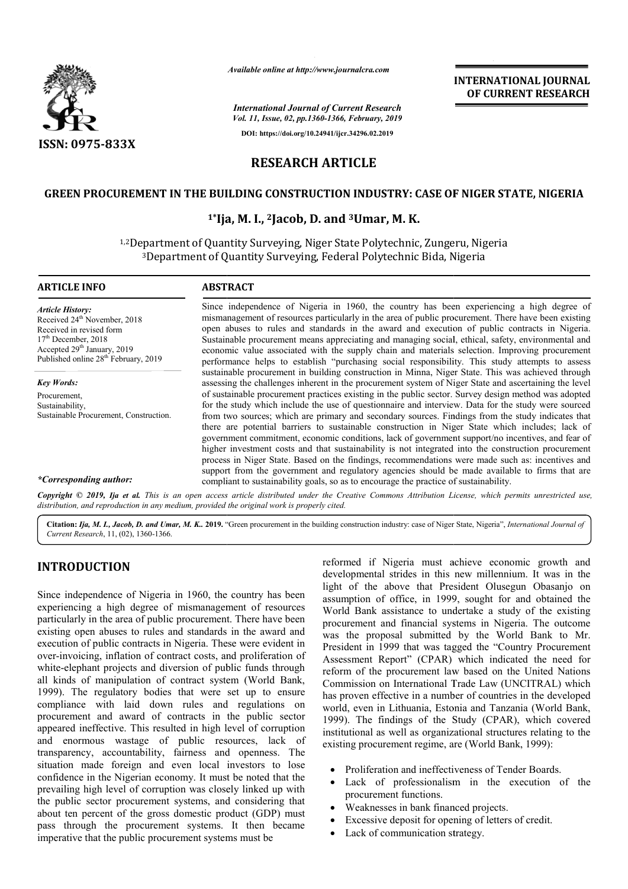

*Available online at http://www.journalcra.com*

# **RESEARCH ARTICLE**

## **GREEN PROCUREMENT IN THE BUILDING CONSTRUCTION INDUSTRY: CASE OF NIGER STATE, NIGERIA IN THE CASE**

## **1\*Ija, M. I., Ija, 2Jacob, D. and 3Umar, M. K.**

|                                                                                                                                                                                                                                                                                                                                                                                                                                                                                                                                                                                                                                                                                                                                                                                                                                                                                                                                                                                                                                                                                                                                                                                                                               |                                                                      |                                                                                                                                                                                | <b>INTERNATIONAL JOURNAL</b><br>OF CURRENT RESEARCH                                                                                                                                                                                                                                                                                                                                                                                                                                                                                                                                                                                                                                                                                                                                                                                                                                                                                               |
|-------------------------------------------------------------------------------------------------------------------------------------------------------------------------------------------------------------------------------------------------------------------------------------------------------------------------------------------------------------------------------------------------------------------------------------------------------------------------------------------------------------------------------------------------------------------------------------------------------------------------------------------------------------------------------------------------------------------------------------------------------------------------------------------------------------------------------------------------------------------------------------------------------------------------------------------------------------------------------------------------------------------------------------------------------------------------------------------------------------------------------------------------------------------------------------------------------------------------------|----------------------------------------------------------------------|--------------------------------------------------------------------------------------------------------------------------------------------------------------------------------|---------------------------------------------------------------------------------------------------------------------------------------------------------------------------------------------------------------------------------------------------------------------------------------------------------------------------------------------------------------------------------------------------------------------------------------------------------------------------------------------------------------------------------------------------------------------------------------------------------------------------------------------------------------------------------------------------------------------------------------------------------------------------------------------------------------------------------------------------------------------------------------------------------------------------------------------------|
|                                                                                                                                                                                                                                                                                                                                                                                                                                                                                                                                                                                                                                                                                                                                                                                                                                                                                                                                                                                                                                                                                                                                                                                                                               |                                                                      | <b>International Journal of Current Research</b><br>Vol. 11, Issue, 02, pp.1360-1366, February, 2019                                                                           |                                                                                                                                                                                                                                                                                                                                                                                                                                                                                                                                                                                                                                                                                                                                                                                                                                                                                                                                                   |
| <b>ISSN: 0975-833X</b>                                                                                                                                                                                                                                                                                                                                                                                                                                                                                                                                                                                                                                                                                                                                                                                                                                                                                                                                                                                                                                                                                                                                                                                                        |                                                                      | DOI: https://doi.org/10.24941/ijcr.34296.02.2019                                                                                                                               |                                                                                                                                                                                                                                                                                                                                                                                                                                                                                                                                                                                                                                                                                                                                                                                                                                                                                                                                                   |
|                                                                                                                                                                                                                                                                                                                                                                                                                                                                                                                                                                                                                                                                                                                                                                                                                                                                                                                                                                                                                                                                                                                                                                                                                               | <b>RESEARCH ARTICLE</b>                                              |                                                                                                                                                                                |                                                                                                                                                                                                                                                                                                                                                                                                                                                                                                                                                                                                                                                                                                                                                                                                                                                                                                                                                   |
|                                                                                                                                                                                                                                                                                                                                                                                                                                                                                                                                                                                                                                                                                                                                                                                                                                                                                                                                                                                                                                                                                                                                                                                                                               |                                                                      |                                                                                                                                                                                |                                                                                                                                                                                                                                                                                                                                                                                                                                                                                                                                                                                                                                                                                                                                                                                                                                                                                                                                                   |
| <b>GREEN PROCUREMENT IN THE BUILDING CONSTRUCTION INDUSTRY: CASE OF NIGER STATE, NIGERIA</b>                                                                                                                                                                                                                                                                                                                                                                                                                                                                                                                                                                                                                                                                                                                                                                                                                                                                                                                                                                                                                                                                                                                                  |                                                                      |                                                                                                                                                                                |                                                                                                                                                                                                                                                                                                                                                                                                                                                                                                                                                                                                                                                                                                                                                                                                                                                                                                                                                   |
|                                                                                                                                                                                                                                                                                                                                                                                                                                                                                                                                                                                                                                                                                                                                                                                                                                                                                                                                                                                                                                                                                                                                                                                                                               | $1*$ Ija, M. I., <sup>2</sup> Jacob, D. and <sup>3</sup> Umar, M. K. |                                                                                                                                                                                |                                                                                                                                                                                                                                                                                                                                                                                                                                                                                                                                                                                                                                                                                                                                                                                                                                                                                                                                                   |
|                                                                                                                                                                                                                                                                                                                                                                                                                                                                                                                                                                                                                                                                                                                                                                                                                                                                                                                                                                                                                                                                                                                                                                                                                               |                                                                      | <sup>1,2</sup> Department of Quantity Surveying, Niger State Polytechnic, Zungeru, Nigeria<br><sup>3</sup> Department of Quantity Surveying, Federal Polytechnic Bida, Nigeria |                                                                                                                                                                                                                                                                                                                                                                                                                                                                                                                                                                                                                                                                                                                                                                                                                                                                                                                                                   |
| <b>ARTICLE INFO</b>                                                                                                                                                                                                                                                                                                                                                                                                                                                                                                                                                                                                                                                                                                                                                                                                                                                                                                                                                                                                                                                                                                                                                                                                           | <b>ABSTRACT</b>                                                      |                                                                                                                                                                                |                                                                                                                                                                                                                                                                                                                                                                                                                                                                                                                                                                                                                                                                                                                                                                                                                                                                                                                                                   |
| <b>Article History:</b><br>Received 24 <sup>th</sup> November, 2018<br>Received in revised form<br>17 <sup>th</sup> December, 2018<br>Accepted 29 <sup>th</sup> January, 2019<br>Published online 28 <sup>th</sup> February, 2019                                                                                                                                                                                                                                                                                                                                                                                                                                                                                                                                                                                                                                                                                                                                                                                                                                                                                                                                                                                             |                                                                      |                                                                                                                                                                                | Since independence of Nigeria in 1960, the country has been experiencing a high degree of<br>mismanagement of resources particularly in the area of public procurement. There have been existing<br>open abuses to rules and standards in the award and execution of public contracts in Nigeria.<br>Sustainable procurement means appreciating and managing social, ethical, safety, environmental and<br>economic value associated with the supply chain and materials selection. Improving procurement<br>performance helps to establish "purchasing social responsibility. This study attempts to assess                                                                                                                                                                                                                                                                                                                                      |
| <b>Key Words:</b><br>Procurement,<br>Sustainability,<br>Sustainable Procurement, Construction.                                                                                                                                                                                                                                                                                                                                                                                                                                                                                                                                                                                                                                                                                                                                                                                                                                                                                                                                                                                                                                                                                                                                |                                                                      |                                                                                                                                                                                | sustainable procurement in building construction in Minna, Niger State. This was achieved through<br>assessing the challenges inherent in the procurement system of Niger State and ascertaining the level<br>of sustainable procurement practices existing in the public sector. Survey design method was adopted<br>for the study which include the use of questionnaire and interview. Data for the study were sourced<br>from two sources; which are primary and secondary sources. Findings from the study indicates that<br>there are potential barriers to sustainable construction in Niger State which includes; lack of<br>government commitment, economic conditions, lack of government support/no incentives, and fear of<br>higher investment costs and that sustainability is not integrated into the construction procurement<br>process in Niger State. Based on the findings, recommendations were made such as: incentives and |
| *Corresponding author:                                                                                                                                                                                                                                                                                                                                                                                                                                                                                                                                                                                                                                                                                                                                                                                                                                                                                                                                                                                                                                                                                                                                                                                                        |                                                                      | compliant to sustainability goals, so as to encourage the practice of sustainability.                                                                                          | support from the government and regulatory agencies should be made available to firms that are                                                                                                                                                                                                                                                                                                                                                                                                                                                                                                                                                                                                                                                                                                                                                                                                                                                    |
| Copyright © 2019, Ija et al. This is an open access article distributed under the Creative Commons Attribution License, which permits unrestricted use,<br>distribution, and reproduction in any medium, provided the original work is properly cited.                                                                                                                                                                                                                                                                                                                                                                                                                                                                                                                                                                                                                                                                                                                                                                                                                                                                                                                                                                        |                                                                      |                                                                                                                                                                                |                                                                                                                                                                                                                                                                                                                                                                                                                                                                                                                                                                                                                                                                                                                                                                                                                                                                                                                                                   |
| Citation: Ija, M. I., Jacob, D. and Umar, M. K. 2019. "Green procurement in the building construction industry: case of Niger State, Nigeria", International Journal of<br>Current Research, 11, (02), 1360-1366.                                                                                                                                                                                                                                                                                                                                                                                                                                                                                                                                                                                                                                                                                                                                                                                                                                                                                                                                                                                                             |                                                                      |                                                                                                                                                                                |                                                                                                                                                                                                                                                                                                                                                                                                                                                                                                                                                                                                                                                                                                                                                                                                                                                                                                                                                   |
| <b>INTRODUCTION</b>                                                                                                                                                                                                                                                                                                                                                                                                                                                                                                                                                                                                                                                                                                                                                                                                                                                                                                                                                                                                                                                                                                                                                                                                           |                                                                      |                                                                                                                                                                                | reformed if Nigeria must achieve economic growth and<br>developmental strides in this new millennium. It was in the                                                                                                                                                                                                                                                                                                                                                                                                                                                                                                                                                                                                                                                                                                                                                                                                                               |
| Since independence of Nigeria in 1960, the country has been<br>experiencing a high degree of mismanagement of resources<br>particularly in the area of public procurement. There have been<br>existing open abuses to rules and standards in the award and<br>execution of public contracts in Nigeria. These were evident in<br>over-invoicing, inflation of contract costs, and proliferation of<br>white-elephant projects and diversion of public funds through<br>all kinds of manipulation of contract system (World Bank,<br>1999). The regulatory bodies that were set up to ensure<br>compliance with laid down rules and regulations on<br>procurement and award of contracts in the public sector<br>appeared ineffective. This resulted in high level of corruption<br>and enormous wastage of public resources, lack of<br>transparency, accountability, fairness and openness. The<br>situation made foreign and even local investors to lose<br>confidence in the Nigerian economy. It must be noted that the<br>prevailing high level of corruption was closely linked up with<br>the public sector procurement systems, and considering that<br>$t$ top popoint of the gross democratic anoduct $(CDD)$ must |                                                                      | existing procurement regime, are (World Bank, 1999):<br>procurement functions.<br>Weaknesses in bank financed projects.<br>$\bullet$                                           | light of the above that President Olusegun Obasanjo on<br>assumption of office, in 1999, sought for and obtained the<br>World Bank assistance to undertake a study of the existing<br>procurement and financial systems in Nigeria. The outcome<br>was the proposal submitted by the World Bank to Mr.<br>President in 1999 that was tagged the "Country Procurement<br>Assessment Report" (CPAR) which indicated the need for<br>reform of the procurement law based on the United Nations<br>Commission on International Trade Law (UNCITRAL) which<br>has proven effective in a number of countries in the developed<br>world, even in Lithuania, Estonia and Tanzania (World Bank,<br>1999). The findings of the Study (CPAR), which covered<br>institutional as well as organizational structures relating to the<br>Proliferation and ineffectiveness of Tender Boards.<br>Lack of professionalism in the execution of the                  |

# **INTRODUCTION**

Since independence of Nigeria in 1960, the country has been experiencing a high degree of mismanagement of resources particularly in the area of public procurement. There have been existing open abuses to rules and standards in the award and execution of public contracts in Nigeria. These were evident in over-invoicing, inflation of contract costs, and proliferation of white-elephant projects and diversion of public funds through all kinds of manipulation of contract system (World Bank, 1999). The regulatory bodies that were set up to ensure compliance with laid down rules and regulations on procurement and award of contracts in the public sector appeared ineffective. This resulted in high level of corruption and enormous wastage of public resources, lack of transparency, accountability, fairness and openness. The situation made foreign and even local investors to lose confidence in the Nigerian economy. It must be noted that the prevailing high level of corruption was closely linked up with the public sector procurement systems, and considering that about ten percent of the gross domestic product (GDP) must pass through the procurement systems. It then became imperative that the public procurement systems must be

- Proliferation and ineffectiveness of Tender Boards.
- Lack of professionalism in the execution of the procurement functions.
- Weaknesses in bank financed projects.
- Excessive deposit for opening of letters of credit.
- Lack of communication strategy.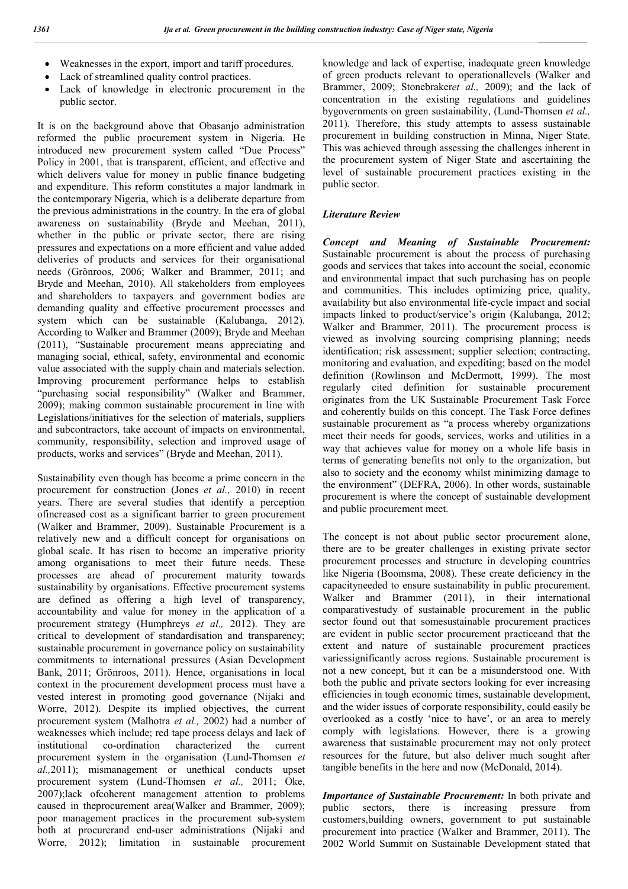- Weaknesses in the export, import and tariff procedures.
- Lack of streamlined quality control practices.
- Lack of knowledge in electronic procurement in the public sector.

It is on the background above that Obasanjo administration reformed the public procurement system in Nigeria. He introduced new procurement system called "Due Process" Policy in 2001, that is transparent, efficient, and effective and which delivers value for money in public finance budgeting and expenditure. This reform constitutes a major landmark in the contemporary Nigeria, which is a deliberate departure from the previous administrations in the country. In the era of global awareness on sustainability (Bryde and Meehan, 2011), whether in the public or private sector, there are rising pressures and expectations on a more efficient and value added deliveries of products and services for their organisational needs (Grönroos, 2006; Walker and Brammer, 2011; and Bryde and Meehan, 2010). All stakeholders from employees and shareholders to taxpayers and government bodies are demanding quality and effective procurement processes and system which can be sustainable (Kalubanga, 2012). According to Walker and Brammer (2009); Bryde and Meehan (2011), "Sustainable procurement means appreciating and managing social, ethical, safety, environmental and economic value associated with the supply chain and materials selection. Improving procurement performance helps to establish "purchasing social responsibility" (Walker and Brammer, 2009); making common sustainable procurement in line with Legislations/initiatives for the selection of materials, suppliers and subcontractors, take account of impacts on environmental, community, responsibility, selection and improved usage of products, works and services" (Bryde and Meehan, 2011).

Sustainability even though has become a prime concern in the procurement for construction (Jones *et al.,* 2010) in recent years. There are several studies that identify a perception ofincreased cost as a significant barrier to green procurement (Walker and Brammer, 2009). Sustainable Procurement is a relatively new and a difficult concept for organisations on global scale. It has risen to become an imperative priority among organisations to meet their future needs. These processes are ahead of procurement maturity towards sustainability by organisations. Effective procurement systems are defined as offering a high level of transparency, accountability and value for money in the application of a procurement strategy (Humphreys *et al.,* 2012). They are critical to development of standardisation and transparency; sustainable procurement in governance policy on sustainability commitments to international pressures (Asian Development Bank, 2011; Grönroos, 2011). Hence, organisations in local context in the procurement development process must have a vested interest in promoting good governance (Nijaki and Worre, 2012). Despite its implied objectives, the current procurement system (Malhotra *et al.,* 2002) had a number of weaknesses which include; red tape process delays and lack of institutional co-ordination characterized the current procurement system in the organisation (Lund-Thomsen *et al.,*2011); mismanagement or unethical conducts upset procurement system (Lund-Thomsen *et al.,* 2011; Oke, 2007);lack ofcoherent management attention to problems caused in theprocurement area(Walker and Brammer, 2009); poor management practices in the procurement sub-system both at procurerand end-user administrations (Nijaki and Worre, 2012); limitation in sustainable procurement knowledge and lack of expertise, inadequate green knowledge of green products relevant to operationallevels (Walker and Brammer, 2009; Stonebraker*et al.,* 2009); and the lack of concentration in the existing regulations and guidelines bygovernments on green sustainability, (Lund-Thomsen *et al.,* 2011). Therefore, this study attempts to assess sustainable procurement in building construction in Minna, Niger State. This was achieved through assessing the challenges inherent in the procurement system of Niger State and ascertaining the level of sustainable procurement practices existing in the public sector.

### *Literature Review*

*Concept and Meaning of Sustainable Procurement:* Sustainable procurement is about the process of purchasing goods and services that takes into account the social, economic and environmental impact that such purchasing has on people and communities. This includes optimizing price, quality, availability but also environmental life-cycle impact and social impacts linked to product/service's origin (Kalubanga, 2012; Walker and Brammer, 2011). The procurement process is viewed as involving sourcing comprising planning; needs identification; risk assessment; supplier selection; contracting, monitoring and evaluation, and expediting; based on the model definition (Rowlinson and McDermott, 1999). The most regularly cited definition for sustainable procurement originates from the UK Sustainable Procurement Task Force and coherently builds on this concept. The Task Force defines sustainable procurement as "a process whereby organizations meet their needs for goods, services, works and utilities in a way that achieves value for money on a whole life basis in terms of generating benefits not only to the organization, but also to society and the economy whilst minimizing damage to the environment" (DEFRA, 2006). In other words, sustainable procurement is where the concept of sustainable development and public procurement meet.

The concept is not about public sector procurement alone, there are to be greater challenges in existing private sector procurement processes and structure in developing countries like Nigeria (Boomsma, 2008). These create deficiency in the capacityneeded to ensure sustainability in public procurement. Walker and Brammer (2011), in their international comparativestudy of sustainable procurement in the public sector found out that somesustainable procurement practices are evident in public sector procurement practiceand that the extent and nature of sustainable procurement practices variessignificantly across regions. Sustainable procurement is not a new concept, but it can be a misunderstood one. With both the public and private sectors looking for ever increasing efficiencies in tough economic times, sustainable development, and the wider issues of corporate responsibility, could easily be overlooked as a costly 'nice to have', or an area to merely comply with legislations. However, there is a growing awareness that sustainable procurement may not only protect resources for the future, but also deliver much sought after tangible benefits in the here and now (McDonald, 2014).

*Importance of Sustainable Procurement:* In both private and public sectors, there is increasing pressure from customers,building owners, government to put sustainable procurement into practice (Walker and Brammer, 2011). The 2002 World Summit on Sustainable Development stated that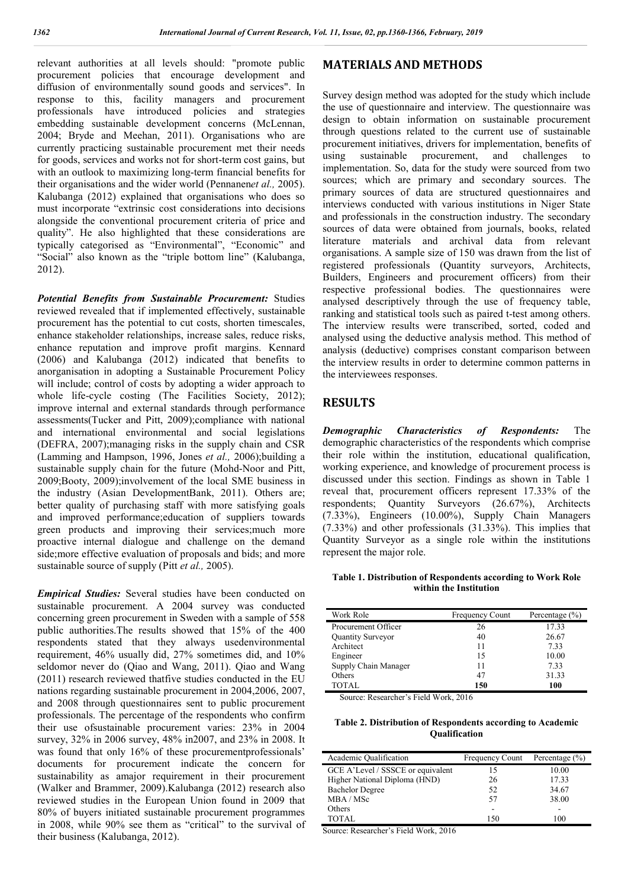relevant authorities at all levels should: "promote public procurement policies that encourage development and diffusion of environmentally sound goods and services". In response to this, facility managers and procurement professionals have introduced policies and strategies embedding sustainable development concerns (McLennan, 2004; Bryde and Meehan, 2011). Organisations who are currently practicing sustainable procurement met their needs for goods, services and works not for short-term cost gains, but with an outlook to maximizing long-term financial benefits for their organisations and the wider world (Pennanen*et al.,* 2005). Kalubanga (2012) explained that organisations who does so must incorporate "extrinsic cost considerations into decisions alongside the conventional procurement criteria of price and quality". He also highlighted that these considerations are typically categorised as "Environmental", "Economic" and "Social" also known as the "triple bottom line" (Kalubanga, 2012).

*Potential Benefits from Sustainable Procurement:* Studies reviewed revealed that if implemented effectively, sustainable procurement has the potential to cut costs, shorten timescales, enhance stakeholder relationships, increase sales, reduce risks, enhance reputation and improve profit margins. Kennard (2006) and Kalubanga (2012) indicated that benefits to anorganisation in adopting a Sustainable Procurement Policy will include; control of costs by adopting a wider approach to whole life-cycle costing (The Facilities Society, 2012); improve internal and external standards through performance assessments(Tucker and Pitt, 2009);compliance with national and international environmental and social legislations (DEFRA, 2007);managing risks in the supply chain and CSR (Lamming and Hampson, 1996, Jones *et al.,* 2006);building a sustainable supply chain for the future (Mohd-Noor and Pitt, 2009;Booty, 2009);involvement of the local SME business in the industry (Asian DevelopmentBank, 2011). Others are; better quality of purchasing staff with more satisfying goals and improved performance;education of suppliers towards green products and improving their services;much more proactive internal dialogue and challenge on the demand side;more effective evaluation of proposals and bids; and more sustainable source of supply (Pitt *et al.,* 2005).

*Empirical Studies:* Several studies have been conducted on sustainable procurement. A 2004 survey was conducted concerning green procurement in Sweden with a sample of 558 public authorities.The results showed that 15% of the 400 respondents stated that they always usedenvironmental requirement, 46% usually did, 27% sometimes did, and 10% seldomor never do (Qiao and Wang, 2011). Qiao and Wang (2011) research reviewed thatfive studies conducted in the EU nations regarding sustainable procurement in 2004,2006, 2007, and 2008 through questionnaires sent to public procurement professionals. The percentage of the respondents who confirm their use ofsustainable procurement varies: 23% in 2004 survey, 32% in 2006 survey, 48% in2007, and 23% in 2008. It was found that only 16% of these procurementprofessionals' documents for procurement indicate the concern for sustainability as amajor requirement in their procurement (Walker and Brammer, 2009).Kalubanga (2012) research also reviewed studies in the European Union found in 2009 that 80% of buyers initiated sustainable procurement programmes in 2008, while 90% see them as "critical" to the survival of their business (Kalubanga, 2012).

### **MATERIALS AND METHODS**

Survey design method was adopted for the study which include the use of questionnaire and interview. The questionnaire was design to obtain information on sustainable procurement through questions related to the current use of sustainable procurement initiatives, drivers for implementation, benefits of using sustainable procurement, and challenges to implementation. So, data for the study were sourced from two sources; which are primary and secondary sources. The primary sources of data are structured questionnaires and interviews conducted with various institutions in Niger State and professionals in the construction industry. The secondary sources of data were obtained from journals, books, related literature materials and archival data from relevant organisations. A sample size of 150 was drawn from the list of registered professionals (Quantity surveyors, Architects, Builders, Engineers and procurement officers) from their respective professional bodies. The questionnaires were analysed descriptively through the use of frequency table, ranking and statistical tools such as paired t-test among others. The interview results were transcribed, sorted, coded and analysed using the deductive analysis method. This method of analysis (deductive) comprises constant comparison between the interview results in order to determine common patterns in the interviewees responses.

### **RESULTS**

*Demographic Characteristics of Respondents:* The demographic characteristics of the respondents which comprise their role within the institution, educational qualification, working experience, and knowledge of procurement process is discussed under this section. Findings as shown in Table 1 reveal that, procurement officers represent 17.33% of the respondents; Quantity Surveyors (26.67%), Architects (7.33%), Engineers (10.00%), Supply Chain Managers (7.33%) and other professionals (31.33%). This implies that Quantity Surveyor as a single role within the institutions represent the major role.

#### **Table 1. Distribution of Respondents according to Work Role within the Institution**

| Work Role            | <b>Frequency Count</b> | Percentage $(\% )$ |
|----------------------|------------------------|--------------------|
| Procurement Officer  | 26                     | 17.33              |
| Quantity Surveyor    | 40                     | 26.67              |
| Architect            | 11                     | 7.33               |
| Engineer             | 15                     | 10.00              |
| Supply Chain Manager | 11                     | 7.33               |
| Others               | 47                     | 31.33              |
| <b>TOTAL</b>         | 150                    | 100                |

Source: Researcher's Field Work, 2016

#### **Table 2. Distribution of Respondents according to Academic Qualification**

| Academic Qualification            | <b>Frequency Count</b> | Percentage $(\% )$ |
|-----------------------------------|------------------------|--------------------|
| GCE A'Level / SSSCE or equivalent | 15                     | 10.00              |
| Higher National Diploma (HND)     | 26                     | 17.33              |
| <b>Bachelor Degree</b>            | 52                     | 34.67              |
| MBA/MSc                           | 57                     | 38.00              |
| Others                            | -                      |                    |
| TOTAL.                            | 150                    | 100                |

Source: Researcher's Field Work, 2016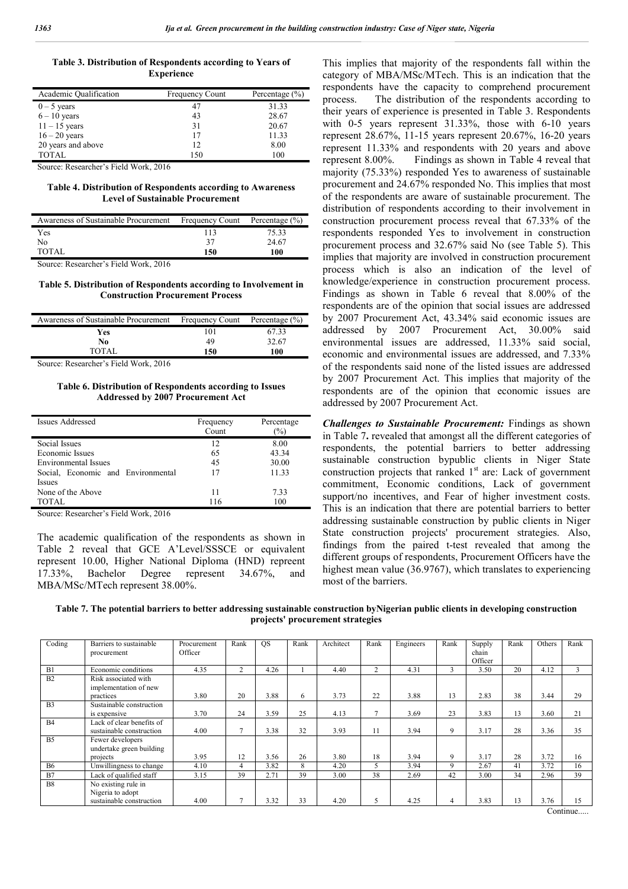**Table 3. Distribution of Respondents according to Years of Experience**

| Academic Qualification | <b>Frequency Count</b> | Percentage $(\% )$ |
|------------------------|------------------------|--------------------|
| $0 - 5$ years          | 47                     | 31.33              |
| $6 - 10$ years         | 43                     | 28.67              |
| $11 - 15$ years        | 31                     | 20.67              |
| $16 - 20$ years        | 17                     | 11.33              |
| 20 years and above     | 12                     | 8.00               |
| TOTAL                  | 150                    | 100                |

Source: Researcher's Field Work, 2016

#### **Table 4. Distribution of Respondents according to Awareness Level of Sustainable Procurement**

| Awareness of Sustainable Procurement | <b>Frequency Count</b> | Percentage $(\% )$ |
|--------------------------------------|------------------------|--------------------|
| Yes                                  | 113                    | 75.33              |
| No                                   | 37                     | 24.67              |
| TOTAL                                | 150                    | 100                |
| .<br>-<br>--                         |                        |                    |

Source: Researcher's Field Work, 2016

#### **Table 5. Distribution of Respondents according to Involvement in Construction Procurement Process**

| Awareness of Sustainable Procurement | <b>Frequency Count</b> | Percentage (%) |
|--------------------------------------|------------------------|----------------|
| Yes                                  | 101                    | 67.33          |
| No                                   | 49                     | 32.67          |
| <b>TOTAL</b>                         | 150                    | 100            |
|                                      |                        |                |

Source: Researcher's Field Work, 2016

#### **Table 6. Distribution of Respondents according to Issues Addressed by 2007 Procurement Act**

| Issues Addressed                   | Frequency<br>Count | Percentage<br>(%) |
|------------------------------------|--------------------|-------------------|
| Social Issues                      | 12                 | 8.00              |
| Economic Issues                    | 65                 | 43.34             |
| Environmental Issues               | 45                 | 30.00             |
| Social, Economic and Environmental | 17                 | 11.33             |
| <b>Issues</b>                      |                    |                   |
| None of the Above                  | 11                 | 7.33              |
| <b>TOTAL</b>                       | 116                | 100               |
| $C = D = 1$ , $T = 11WI + 2017$    |                    |                   |

Source: Researcher's Field Work, 2016

The academic qualification of the respondents as shown in Table 2 reveal that GCE A'Level/SSSCE or equivalent represent 10.00, Higher National Diploma (HND) repreent 17.33%, Bachelor Degree represent 34.67%, and MBA/MSc/MTech represent 38.00%.

This implies that majority of the respondents fall within the category of MBA/MSc/MTech. This is an indication that the respondents have the capacity to comprehend procurement process. The distribution of the respondents according to their years of experience is presented in Table 3. Respondents with 0-5 years represent 31.33%, those with 6-10 years represent 28.67%, 11-15 years represent 20.67%, 16-20 years represent 11.33% and respondents with 20 years and above represent 8.00%. Findings as shown in Table 4 reveal that majority (75.33%) responded Yes to awareness of sustainable procurement and 24.67% responded No. This implies that most of the respondents are aware of sustainable procurement. The distribution of respondents according to their involvement in construction procurement process reveal that 67.33% of the respondents responded Yes to involvement in construction procurement process and 32.67% said No (see Table 5). This implies that majority are involved in construction procurement process which is also an indication of the level of knowledge/experience in construction procurement process. Findings as shown in Table 6 reveal that 8.00% of the respondents are of the opinion that social issues are addressed by 2007 Procurement Act, 43.34% said economic issues are addressed by 2007 Procurement Act, 30.00% said environmental issues are addressed, 11.33% said social, economic and environmental issues are addressed, and 7.33% of the respondents said none of the listed issues are addressed by 2007 Procurement Act. This implies that majority of the respondents are of the opinion that economic issues are addressed by 2007 Procurement Act.

*Challenges to Sustainable Procurement:* Findings as shown in Table 7**.** revealed that amongst all the different categories of respondents, the potential barriers to better addressing sustainable construction bypublic clients in Niger State construction projects that ranked 1<sup>st</sup> are: Lack of government commitment, Economic conditions, Lack of government support/no incentives, and Fear of higher investment costs. This is an indication that there are potential barriers to better addressing sustainable construction by public clients in Niger State construction projects' procurement strategies. Also, findings from the paired t-test revealed that among the different groups of respondents, Procurement Officers have the highest mean value (36.9767), which translates to experiencing most of the barriers.

**Table 7. The potential barriers to better addressing sustainable construction byNigerian public clients in developing construction projects' procurement strategies**

| Coding         | Barriers to sustainable   | Procurement | Rank           | <b>OS</b> | Rank | Architect | Rank | Engineers | Rank          | Supply  | Rank | Others | Rank         |
|----------------|---------------------------|-------------|----------------|-----------|------|-----------|------|-----------|---------------|---------|------|--------|--------------|
|                | procurement               | Officer     |                |           |      |           |      |           |               | chain   |      |        |              |
|                |                           |             |                |           |      |           |      |           |               | Officer |      |        |              |
| B1             | Economic conditions       | 4.35        | $\overline{c}$ | 4.26      |      | 4.40      | 2    | 4.31      | $\rightarrow$ | 3.50    | 20   | 4.12   | $\mathbf{3}$ |
| B <sub>2</sub> | Risk associated with      |             |                |           |      |           |      |           |               |         |      |        |              |
|                | implementation of new     |             |                |           |      |           |      |           |               |         |      |        |              |
|                | practices                 | 3.80        | 20             | 3.88      | 6    | 3.73      | 22   | 3.88      | 13            | 2.83    | 38   | 3.44   | 29           |
| B <sub>3</sub> | Sustainable construction  |             |                |           |      |           |      |           |               |         |      |        |              |
|                | is expensive              | 3.70        | 24             | 3.59      | 25   | 4.13      | π    | 3.69      | 23            | 3.83    | 13   | 3.60   | 21           |
| <b>B4</b>      | Lack of clear benefits of |             |                |           |      |           |      |           |               |         |      |        |              |
|                | sustainable construction  | 4.00        |                | 3.38      | 32   | 3.93      | 11   | 3.94      | 9             | 3.17    | 28   | 3.36   | 35           |
| <b>B5</b>      | Fewer developers          |             |                |           |      |           |      |           |               |         |      |        |              |
|                | undertake green building  |             |                |           |      |           |      |           |               |         |      |        |              |
|                | projects                  | 3.95        | 12             | 3.56      | 26   | 3.80      | 18   | 3.94      | 9             | 3.17    | 28   | 3.72   | 16           |
| <b>B6</b>      | Unwillingness to change   | 4.10        | $\overline{4}$ | 3.82      | 8    | 4.20      |      | 3.94      | 9             | 2.67    | 41   | 3.72   | 16           |
| B7             | Lack of qualified staff   | 3.15        | 39             | 2.71      | 39   | 3.00      | 38   | 2.69      | 42            | 3.00    | 34   | 2.96   | 39           |
| <b>B8</b>      | No existing rule in       |             |                |           |      |           |      |           |               |         |      |        |              |
|                | Nigeria to adopt          |             |                |           |      |           |      |           |               |         |      |        |              |
|                | sustainable construction  | 4.00        |                | 3.32      | 33   | 4.20      | 5    | 4.25      | 4             | 3.83    | 13   | 3.76   | 15           |

Continue.....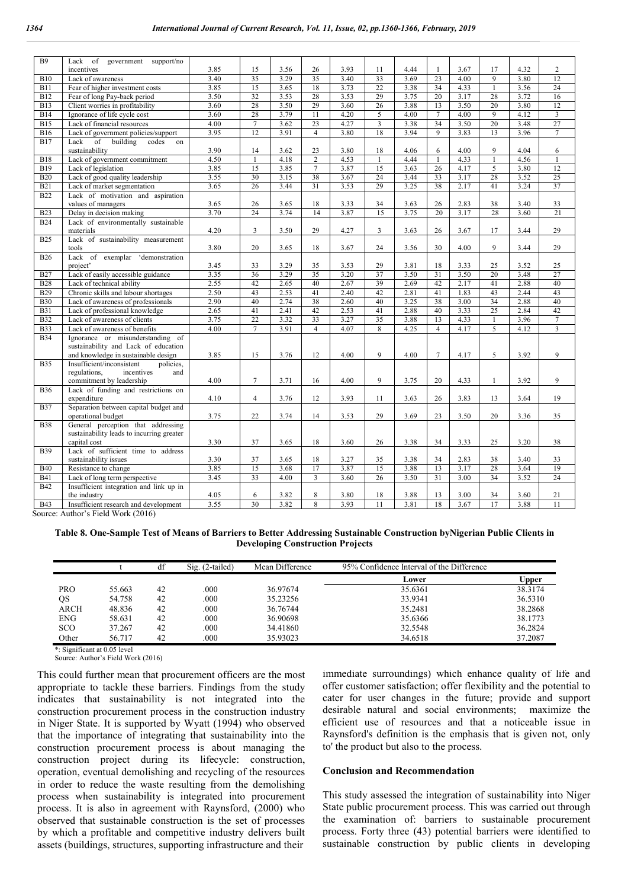| <b>B9</b>                | Lack<br>of<br>government<br>support/no                                   |              |                |      |                 |              |                |              |                 |      |              |              |                 |
|--------------------------|--------------------------------------------------------------------------|--------------|----------------|------|-----------------|--------------|----------------|--------------|-----------------|------|--------------|--------------|-----------------|
|                          | incentives                                                               | 3.85         | 15             | 3.56 | 26              | 3.93         | 11             | 4.44         | $\mathbf{1}$    | 3.67 | 17           | 4.32         | $\overline{c}$  |
| <b>B10</b>               | Lack of awareness                                                        | 3.40         | 35             | 3.29 | 35              | 3.40         | 33             | 3.69         | 23              | 4.00 | 9            | 3.80         | 12              |
| <b>B11</b>               | Fear of higher investment costs                                          | 3.85         | 15             | 3.65 | 18              | 3.73         | 22             | 3.38         | 34              | 4.33 | $\mathbf{1}$ | 3.56         | 24              |
| <b>B12</b>               | Fear of long Pay-back period                                             | 3.50         | 32             | 3.53 | 28              | 3.53         | 29             | 3.75         | 20              | 3.17 | 28           | 3.72         | 16              |
| <b>B13</b>               | Client worries in profitability                                          | 3.60         | 28             | 3.50 | 29              | 3.60         | 26             | 3.88         | 13              | 3.50 | 20           | 3.80         | 12              |
| <b>B14</b>               | Ignorance of life cycle cost                                             | 3.60         | 28             | 3.79 | $\overline{11}$ | 4.20         | 5              | 4.00         | $\tau$          | 4.00 | 9            | 4.12         | $\mathfrak{Z}$  |
| <b>B15</b>               | Lack of financial resources                                              | 4.00         | $\overline{7}$ | 3.62 | 23              | 4.27         | $\overline{3}$ | 3.38         | 34              | 3.50 | 20           | 3.48         | $\overline{27}$ |
| <b>B16</b>               | Lack of government policies/support                                      | 3.95         | 12             | 3.91 | $\overline{4}$  | 3.80         | 18             | 3.94         | 9               | 3.83 | 13           | 3.96         | $\tau$          |
| <b>B17</b>               | Lack<br>building<br>of<br>codes<br>on                                    |              |                |      |                 |              |                |              |                 |      |              |              |                 |
|                          | sustainability                                                           | 3.90         | 14             | 3.62 | 23              | 3.80         | 18             | 4.06         | 6               | 4.00 | 9            | 4.04         | 6               |
| <b>B18</b>               | Lack of government commitment                                            | 4.50         | $\mathbf{1}$   | 4.18 | $\overline{c}$  | 4.53         | $\overline{1}$ | 4.44         | $\mathbf{1}$    | 4.33 | $\mathbf{1}$ | 4.56         | $\mathbf{1}$    |
| <b>B19</b>               | Lack of legislation                                                      | 3.85         | 15             | 3.85 | $\overline{7}$  | 3.87         | 15             | 3.63         | 26              | 4.17 | 5            | 3.80         | 12              |
| <b>B20</b>               | Lack of good quality leadership                                          | 3.55         | 30             | 3.15 | 38              | 3.67         | 24             | 3.44         | 33              | 3.17 | 28           | 3.52         | 25              |
| <b>B21</b>               | Lack of market segmentation                                              | 3.65         | 26             | 3.44 | $\overline{31}$ | 3.53         | 29             | 3.25         | 38              | 2.17 | 41           | 3.24         | 37              |
| <b>B22</b>               | Lack of motivation and aspiration                                        |              |                |      |                 |              |                |              |                 |      |              |              |                 |
|                          | values of managers                                                       | 3.65         | 26             | 3.65 | 18              | 3.33         | 34             | 3.63         | 26              | 2.83 | 38           | 3.40         | 33              |
| <b>B23</b>               | Delay in decision making                                                 | 3.70         | 24             | 3.74 | 14              | 3.87         | 15             | 3.75         | 20              | 3.17 | 28           | 3.60         | 21              |
| <b>B24</b>               | Lack of environmentally sustainable                                      |              |                |      |                 |              |                |              |                 |      |              |              |                 |
|                          | materials                                                                | 4.20         | 3              | 3.50 | 29              | 4.27         | 3              | 3.63         | 26              | 3.67 | 17           | 3.44         | 29              |
| <b>B25</b>               | Lack of sustainability measurement                                       |              |                |      |                 |              |                |              |                 |      |              |              |                 |
|                          | tools                                                                    | 3.80         | 20             | 3.65 | 18              | 3.67         | 24             | 3.56         | 30              | 4.00 | 9            | 3.44         | 29              |
| <b>B26</b>               | Lack of exemplar 'demonstration                                          |              |                |      |                 |              |                |              |                 |      |              |              |                 |
|                          | project'                                                                 | 3.45         | 33             | 3.29 | 35              | 3.53         | 29             | 3.81         | 18              | 3.33 | 25           | 3.52         | 25              |
| <b>B27</b>               | Lack of easily accessible guidance                                       | 3.35         | 36             | 3.29 | 35              | 3.20         | 37             | 3.50         | 31              | 3.50 | 20           | 3.48         | 27              |
| <b>B28</b>               | Lack of technical ability                                                | 2.55         | 42             | 2.65 | 40              | 2.67         | 39             | 2.69         | 42              | 2.17 | 41           | 2.88         | 40              |
| <b>B29</b>               | Chronic skills and labour shortages                                      | 2.50         | 43             | 2.53 | 41              | 2.40         | 42             | 2.81         | 41              | 1.83 | 43           | 2.44         | 43              |
| <b>B30</b>               | Lack of awareness of professionals                                       | 2.90         | 40             | 2.74 | 38              | 2.60         | 40             | 3.25         | 38              | 3.00 | 34           | 2.88         | 40              |
| <b>B31</b>               | Lack of professional knowledge                                           | 2.65<br>3.75 | 41<br>22       | 2.41 | 42<br>33        | 2.53         | 41<br>35       | 2.88<br>3.88 | 40              | 3.33 | 25           | 2.84<br>3.96 | 42              |
| <b>B32</b>               | Lack of awareness of clients                                             | 4.00         | $\overline{7}$ | 3.32 |                 | 3.27<br>4.07 |                |              | 13              | 4.33 | $\mathbf{1}$ |              | $\overline{7}$  |
| <b>B33</b><br><b>B34</b> | Lack of awareness of benefits                                            |              |                | 3.91 | $\overline{4}$  |              | 8              | 4.25         | $\overline{4}$  | 4.17 | 5            | 4.12         | 3               |
|                          | Ignorance or misunderstanding of<br>sustainability and Lack of education |              |                |      |                 |              |                |              |                 |      |              |              |                 |
|                          | and knowledge in sustainable design                                      | 3.85         | 15             | 3.76 | 12              | 4.00         | 9              | 4.00         | $7\phantom{.0}$ | 4.17 | 5            | 3.92         | 9               |
| <b>B35</b>               | Insufficient/inconsistent<br>policies,                                   |              |                |      |                 |              |                |              |                 |      |              |              |                 |
|                          | regulations,<br>incentives<br>and                                        |              |                |      |                 |              |                |              |                 |      |              |              |                 |
|                          | commitment by leadership                                                 | 4.00         | $\overline{7}$ | 3.71 | 16              | 4.00         | 9              | 3.75         | 20              | 4.33 | $\mathbf{1}$ | 3.92         | 9               |
| <b>B</b> 36              | Lack of funding and restrictions on                                      |              |                |      |                 |              |                |              |                 |      |              |              |                 |
|                          | expenditure                                                              | 4.10         | $\overline{4}$ | 3.76 | 12              | 3.93         | 11             | 3.63         | 26              | 3.83 | 13           | 3.64         | 19              |
| <b>B37</b>               | Separation between capital budget and                                    |              |                |      |                 |              |                |              |                 |      |              |              |                 |
|                          | operational budget                                                       | 3.75         | 22             | 3.74 | 14              | 3.53         | 29             | 3.69         | 23              | 3.50 | 20           | 3.36         | 35              |
| <b>B38</b>               | General perception that addressing                                       |              |                |      |                 |              |                |              |                 |      |              |              |                 |
|                          | sustainability leads to incurring greater                                |              |                |      |                 |              |                |              |                 |      |              |              |                 |
|                          | capital cost                                                             | 3.30         | 37             | 3.65 | 18              | 3.60         | 26             | 3.38         | 34              | 3.33 | 25           | 3.20         | 38              |
| <b>B39</b>               | Lack of sufficient time to address                                       |              |                |      |                 |              |                |              |                 |      |              |              |                 |
|                          | sustainability issues                                                    | 3.30         | 37             | 3.65 | 18              | 3.27         | 35             | 3.38         | 34              | 2.83 | 38           | 3.40         | 33              |
| <b>B40</b>               | Resistance to change                                                     | 3.85         | 15             | 3.68 | 17              | 3.87         | 15             | 3.88         | 13              | 3.17 | 28           | 3.64         | 19              |
| <b>B41</b>               | Lack of long term perspective                                            | 3.45         | 33             | 4.00 | 3               | 3.60         | 26             | 3.50         | 31              | 3.00 | 34           | 3.52         | 24              |
| <b>B42</b>               | Insufficient integration and link up in                                  |              |                |      |                 |              |                |              |                 |      |              |              |                 |
|                          | the industry                                                             | 4.05         | 6              | 3.82 | 8               | 3.80         | 18             | 3.88         | 13              | 3.00 | 34           | 3.60         | 21              |
| <b>B43</b>               | Insufficient research and development                                    | 3.55         | 30             | 3.82 | 8               | 3.93         | 11             | 3.81         | 18              | 3.67 | 17           | 3.88         | 11              |

Source: Author's Field Work (2016)

**Table 8. One-Sample Test of Means of Barriers to Better Addressing Sustainable Construction byNigerian Public Clients in Developing Construction Projects**

|            |        | df | $Sig. (2-tailed)$ | Mean Difference | 95% Confidence Interval of the Difference |              |
|------------|--------|----|-------------------|-----------------|-------------------------------------------|--------------|
|            |        |    |                   |                 | Lower                                     | <b>Upper</b> |
| <b>PRO</b> | 55.663 | 42 | .000              | 36.97674        | 35.6361                                   | 38.3174      |
| QS         | 54.758 | 42 | .000              | 35.23256        | 33.9341                                   | 36.5310      |
| ARCH       | 48.836 | 42 | .000              | 36.76744        | 35.2481                                   | 38.2868      |
| <b>ENG</b> | 58.631 | 42 | .000              | 36.90698        | 35.6366                                   | 38.1773      |
| SCO        | 37.267 | 42 | .000              | 34.41860        | 32.5548                                   | 36.2824      |
| Other      | 56.717 | 42 | .000              | 35.93023        | 34.6518                                   | 37.2087      |

\*: Significant at 0.05 level

Source: Author's Field Work (2016)

This could further mean that procurement officers are the most appropriate to tackle these barriers. Findings from the study indicates that sustainability is not integrated into the construction procurement process in the construction industry in Niger State. It is supported by Wyatt (1994) who observed that the importance of integrating that sustainability into the construction procurement process is about managing the construction project during its lifecycle: construction, operation, eventual demolishing and recycling of the resources in order to reduce the waste resulting from the demolishing process when sustainability is integrated into procurement process. It is also in agreement with Raynsford, (2000) who observed that sustainable construction is the set of processes by which a profitable and competitive industry delivers built assets (buildings, structures, supporting infrastructure and their

immediate surroundings) which enhance quality of life and offer customer satisfaction; offer flexibility and the potential to cater for user changes in the future; provide and support desirable natural and social environments; maximize the efficient use of resources and that a noticeable issue in Raynsford's definition is the emphasis that is given not, only to' the product but also to the process.

#### **Conclusion and Recommendation**

This study assessed the integration of sustainability into Niger State public procurement process. This was carried out through the examination of: barriers to sustainable procurement process. Forty three (43) potential barriers were identified to sustainable construction by public clients in developing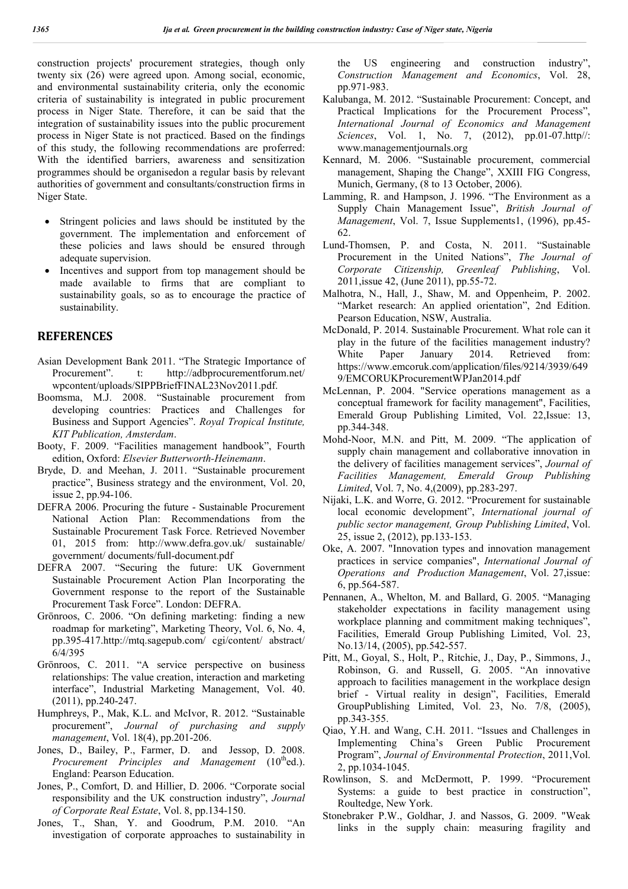construction projects' procurement strategies, though only twenty six (26) were agreed upon. Among social, economic, and environmental sustainability criteria, only the economic criteria of sustainability is integrated in public procurement process in Niger State. Therefore, it can be said that the integration of sustainability issues into the public procurement process in Niger State is not practiced. Based on the findings of this study, the following recommendations are proferred: With the identified barriers, awareness and sensitization programmes should be organisedon a regular basis by relevant authorities of government and consultants/construction firms in Niger State.

- Stringent policies and laws should be instituted by the government. The implementation and enforcement of these policies and laws should be ensured through adequate supervision.
- Incentives and support from top management should be made available to firms that are compliant to sustainability goals, so as to encourage the practice of sustainability.

## **REFERENCES**

- Asian Development Bank 2011. "The Strategic Importance of Procurement". t: http://adbprocurementforum.net/ wpcontent/uploads/SIPPBriefFINAL23Nov2011.pdf.
- Boomsma, M.J. 2008. "Sustainable procurement from developing countries: Practices and Challenges for Business and Support Agencies". *Royal Tropical Institute, KIT Publication, Amsterdam*.
- Booty, F. 2009. "Facilities management handbook", Fourth edition, Oxford: *Elsevier Butterworth-Heinemann*.
- Bryde, D. and Meehan, J. 2011. "Sustainable procurement practice", Business strategy and the environment, Vol. 20, issue 2, pp.94-106.
- DEFRA 2006. Procuring the future Sustainable Procurement National Action Plan: Recommendations from the Sustainable Procurement Task Force. Retrieved November 01, 2015 from: http://www.defra.gov.uk/ sustainable/ government/ documents/full-document.pdf
- DEFRA 2007. "Securing the future: UK Government Sustainable Procurement Action Plan Incorporating the Government response to the report of the Sustainable Procurement Task Force". London: DEFRA.
- Grönroos, C. 2006. "On defining marketing: finding a new roadmap for marketing", Marketing Theory, Vol. 6, No. 4, pp.395-417.http://mtq.sagepub.com/ cgi/content/ abstract/ 6/4/395
- Grönroos, C. 2011. "A service perspective on business relationships: The value creation, interaction and marketing interface", Industrial Marketing Management, Vol. 40. (2011), pp.240-247.
- Humphreys, P., Mak, K.L. and McIvor, R. 2012. "Sustainable procurement", *Journal of purchasing and supply management*, Vol. 18(4), pp.201-206.
- Jones, D., Bailey, P., Farmer, D. and Jessop, D. 2008. *Procurement Principles and Management* (10<sup>th</sup>ed.). England: Pearson Education.
- Jones, P., Comfort, D. and Hillier, D. 2006. "Corporate social responsibility and the UK construction industry", *Journal of Corporate Real Estate*, Vol. 8, pp.134-150.
- Jones, T., Shan, Y. and Goodrum, P.M. 2010. "An investigation of corporate approaches to sustainability in

the US engineering and construction industry", *Construction Management and Economics*, Vol. 28, pp.971-983.

- Kalubanga, M. 2012. "Sustainable Procurement: Concept, and Practical Implications for the Procurement Process", *International Journal of Economics and Management Sciences*, Vol. 1, No. 7, (2012), pp.01-07.http//: www.managementjournals.org
- Kennard, M. 2006. "Sustainable procurement, commercial management, Shaping the Change", XXIII FIG Congress, Munich, Germany, (8 to 13 October, 2006).
- Lamming, R. and Hampson, J. 1996. "The Environment as a Supply Chain Management Issue", *British Journal of Management*, Vol. 7, Issue Supplements1, (1996), pp.45- 62.
- Lund-Thomsen, P. and Costa, N. 2011. "Sustainable Procurement in the United Nations", *The Journal of Corporate Citizenship, Greenleaf Publishing*, Vol. 2011,issue 42, (June 2011), pp.55-72.
- Malhotra, N., Hall, J., Shaw, M. and Oppenheim, P. 2002. "Market research: An applied orientation", 2nd Edition. Pearson Education, NSW, Australia.
- McDonald, P. 2014. Sustainable Procurement. What role can it play in the future of the facilities management industry? White Paper January 2014. Retrieved from: https://www.emcoruk.com/application/files/9214/3939/649 9/EMCORUKProcurementWPJan2014.pdf
- McLennan, P. 2004. "Service operations management as a conceptual framework for facility management", Facilities, Emerald Group Publishing Limited, Vol. 22,Issue: 13, pp.344-348.
- Mohd-Noor, M.N. and Pitt, M. 2009. "The application of supply chain management and collaborative innovation in the delivery of facilities management services", *Journal of Facilities Management, Emerald Group Publishing Limited*, Vol. 7, No. 4,(2009), pp.283-297.
- Nijaki, L.K. and Worre, G. 2012. "Procurement for sustainable local economic development", *International journal of public sector management, Group Publishing Limited*, Vol. 25, issue 2, (2012), pp.133-153.
- Oke, A. 2007. "Innovation types and innovation management practices in service companies", *International Journal of Operations and Production Management*, Vol. 27,issue: 6, pp.564-587.
- Pennanen, A., Whelton, M. and Ballard, G. 2005. "Managing stakeholder expectations in facility management using workplace planning and commitment making techniques", Facilities, Emerald Group Publishing Limited, Vol. 23, No.13/14, (2005), pp.542-557.
- Pitt, M., Goyal, S., Holt, P., Ritchie, J., Day, P., Simmons, J., Robinson, G. and Russell, G. 2005. "An innovative approach to facilities management in the workplace design brief - Virtual reality in design", Facilities, Emerald GroupPublishing Limited, Vol. 23, No. 7/8, (2005), pp.343-355.
- Qiao, Y.H. and Wang, C.H. 2011. "Issues and Challenges in Implementing China's Green Public Procurement Program", *Journal of Environmental Protection*, 2011,Vol. 2, pp.1034-1045.
- Rowlinson, S. and McDermott, P. 1999. "Procurement Systems: a guide to best practice in construction", Roultedge, New York.
- Stonebraker P.W., Goldhar, J. and Nassos, G. 2009. "Weak links in the supply chain: measuring fragility and